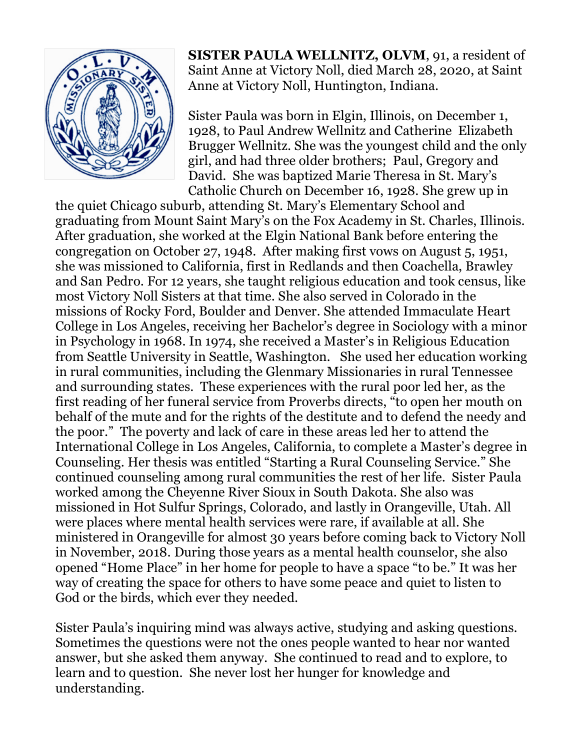

**SISTER PAULA WELLNITZ, OLVM**, 91, a resident of Saint Anne at Victory Noll, died March 28, 2020, at Saint Anne at Victory Noll, Huntington, Indiana.

Sister Paula was born in Elgin, Illinois, on December 1, 1928, to Paul Andrew Wellnitz and Catherine Elizabeth Brugger Wellnitz. She was the youngest child and the only girl, and had three older brothers; Paul, Gregory and David. She was baptized Marie Theresa in St. Mary's Catholic Church on December 16, 1928. She grew up in

the quiet Chicago suburb, attending St. Mary's Elementary School and graduating from Mount Saint Mary's on the Fox Academy in St. Charles, Illinois. After graduation, she worked at the Elgin National Bank before entering the congregation on October 27, 1948. After making first vows on August 5, 1951, she was missioned to California, first in Redlands and then Coachella, Brawley and San Pedro. For 12 years, she taught religious education and took census, like most Victory Noll Sisters at that time. She also served in Colorado in the missions of Rocky Ford, Boulder and Denver. She attended Immaculate Heart College in Los Angeles, receiving her Bachelor's degree in Sociology with a minor in Psychology in 1968. In 1974, she received a Master's in Religious Education from Seattle University in Seattle, Washington. She used her education working in rural communities, including the Glenmary Missionaries in rural Tennessee and surrounding states. These experiences with the rural poor led her, as the first reading of her funeral service from Proverbs directs, "to open her mouth on behalf of the mute and for the rights of the destitute and to defend the needy and the poor." The poverty and lack of care in these areas led her to attend the International College in Los Angeles, California, to complete a Master's degree in Counseling. Her thesis was entitled "Starting a Rural Counseling Service." She continued counseling among rural communities the rest of her life. Sister Paula worked among the Cheyenne River Sioux in South Dakota. She also was missioned in Hot Sulfur Springs, Colorado, and lastly in Orangeville, Utah. All were places where mental health services were rare, if available at all. She ministered in Orangeville for almost 30 years before coming back to Victory Noll in November, 2018. During those years as a mental health counselor, she also opened "Home Place" in her home for people to have a space "to be." It was her way of creating the space for others to have some peace and quiet to listen to God or the birds, which ever they needed.

Sister Paula's inquiring mind was always active, studying and asking questions. Sometimes the questions were not the ones people wanted to hear nor wanted answer, but she asked them anyway. She continued to read and to explore, to learn and to question. She never lost her hunger for knowledge and understanding.